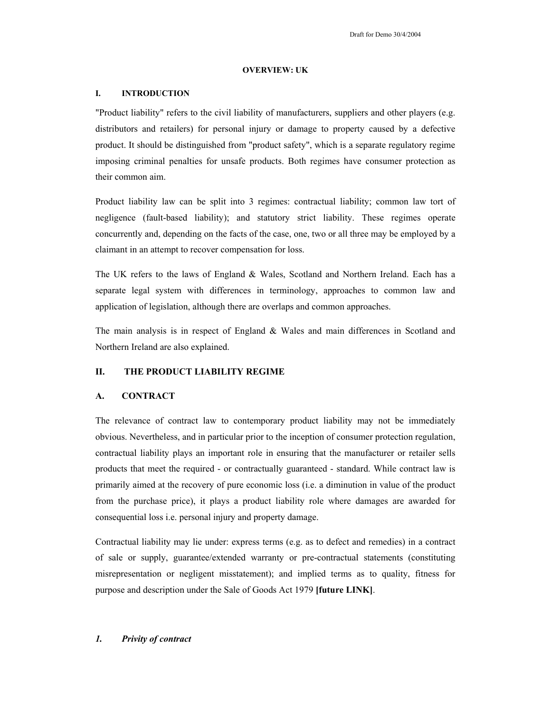### **OVERVIEW: UK**

#### **I. INTRODUCTION**

"Product liability" refers to the civil liability of manufacturers, suppliers and other players (e.g. distributors and retailers) for personal injury or damage to property caused by a defective product. It should be distinguished from "product safety", which is a separate regulatory regime imposing criminal penalties for unsafe products. Both regimes have consumer protection as their common aim.

Product liability law can be split into 3 regimes: contractual liability; common law tort of negligence (fault-based liability); and statutory strict liability. These regimes operate concurrently and, depending on the facts of the case, one, two or all three may be employed by a claimant in an attempt to recover compensation for loss.

The UK refers to the laws of England & Wales, Scotland and Northern Ireland. Each has a separate legal system with differences in terminology, approaches to common law and application of legislation, although there are overlaps and common approaches.

The main analysis is in respect of England & Wales and main differences in Scotland and Northern Ireland are also explained.

# **II. THE PRODUCT LIABILITY REGIME**

# **A. CONTRACT**

The relevance of contract law to contemporary product liability may not be immediately obvious. Nevertheless, and in particular prior to the inception of consumer protection regulation, contractual liability plays an important role in ensuring that the manufacturer or retailer sells products that meet the required - or contractually guaranteed - standard. While contract law is primarily aimed at the recovery of pure economic loss (i.e. a diminution in value of the product from the purchase price), it plays a product liability role where damages are awarded for consequential loss i.e. personal injury and property damage.

Contractual liability may lie under: express terms (e.g. as to defect and remedies) in a contract of sale or supply, guarantee/extended warranty or pre-contractual statements (constituting misrepresentation or negligent misstatement); and implied terms as to quality, fitness for purpose and description under the Sale of Goods Act 1979 **[future LINK]**.

#### *1. Privity of contract*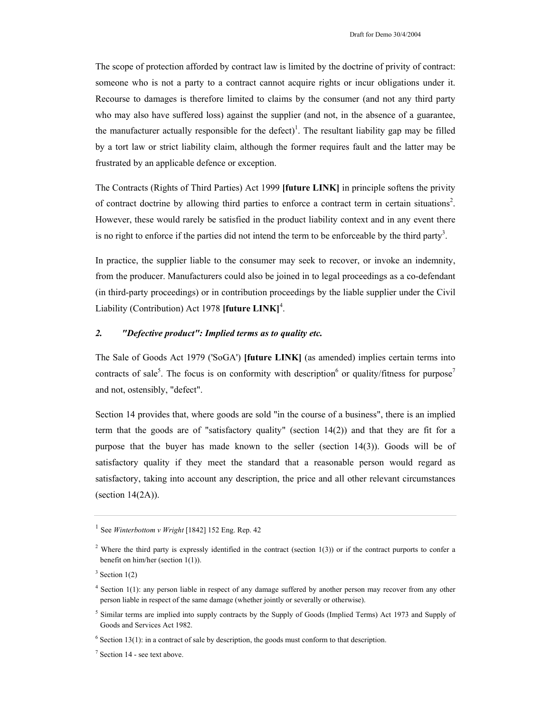The scope of protection afforded by contract law is limited by the doctrine of privity of contract: someone who is not a party to a contract cannot acquire rights or incur obligations under it. Recourse to damages is therefore limited to claims by the consumer (and not any third party who may also have suffered loss) against the supplier (and not, in the absence of a guarantee, the manufacturer actually responsible for the defect)<sup>1</sup>. The resultant liability gap may be filled by a tort law or strict liability claim, although the former requires fault and the latter may be frustrated by an applicable defence or exception.

The Contracts (Rights of Third Parties) Act 1999 **[future LINK]** in principle softens the privity of contract doctrine by allowing third parties to enforce a contract term in certain situations<sup>2</sup>. However, these would rarely be satisfied in the product liability context and in any event there is no right to enforce if the parties did not intend the term to be enforceable by the third party<sup>3</sup>.

In practice, the supplier liable to the consumer may seek to recover, or invoke an indemnity, from the producer. Manufacturers could also be joined in to legal proceedings as a co-defendant (in third-party proceedings) or in contribution proceedings by the liable supplier under the Civil Liability (Contribution) Act 1978 [future LINK]<sup>4</sup>.

## *2. "Defective product": Implied terms as to quality etc.*

The Sale of Goods Act 1979 ('SoGA') **[future LINK]** (as amended) implies certain terms into contracts of sale<sup>5</sup>. The focus is on conformity with description<sup>6</sup> or quality/fitness for purpose<sup>7</sup> and not, ostensibly, "defect".

Section 14 provides that, where goods are sold "in the course of a business", there is an implied term that the goods are of "satisfactory quality" (section 14(2)) and that they are fit for a purpose that the buyer has made known to the seller (section 14(3)). Goods will be of satisfactory quality if they meet the standard that a reasonable person would regard as satisfactory, taking into account any description, the price and all other relevant circumstances (section 14(2A)).

<sup>1</sup> See *Winterbottom v Wright* [1842] 152 Eng. Rep. 42

<sup>&</sup>lt;sup>2</sup> Where the third party is expressly identified in the contract (section 1(3)) or if the contract purports to confer a benefit on him/her (section 1(1)).

 $3$  Section 1(2)

<sup>4</sup> Section 1(1): any person liable in respect of any damage suffered by another person may recover from any other person liable in respect of the same damage (whether jointly or severally or otherwise).

<sup>&</sup>lt;sup>5</sup> Similar terms are implied into supply contracts by the Supply of Goods (Implied Terms) Act 1973 and Supply of Goods and Services Act 1982.

 $6$  Section 13(1): in a contract of sale by description, the goods must conform to that description.

<sup>7</sup> Section 14 - see text above.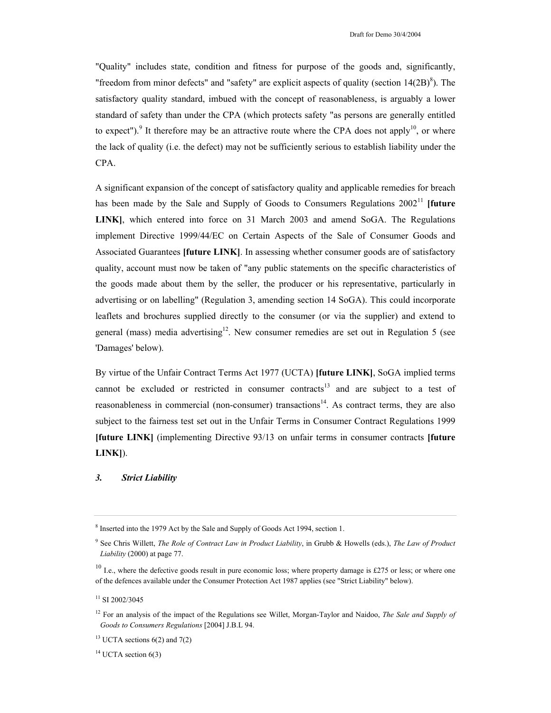"Quality" includes state, condition and fitness for purpose of the goods and, significantly, "freedom from minor defects" and "safety" are explicit aspects of quality (section  $14(2B)^8$ ). The satisfactory quality standard, imbued with the concept of reasonableness, is arguably a lower standard of safety than under the CPA (which protects safety "as persons are generally entitled to expect"). <sup>9</sup> It therefore may be an attractive route where the CPA does not apply<sup>10</sup>, or where the lack of quality (i.e. the defect) may not be sufficiently serious to establish liability under the CPA.

A significant expansion of the concept of satisfactory quality and applicable remedies for breach has been made by the Sale and Supply of Goods to Consumers Regulations 2002<sup>11</sup> [future **LINK]**, which entered into force on 31 March 2003 and amend SoGA. The Regulations implement Directive 1999/44/EC on Certain Aspects of the Sale of Consumer Goods and Associated Guarantees **[future LINK]**. In assessing whether consumer goods are of satisfactory quality, account must now be taken of "any public statements on the specific characteristics of the goods made about them by the seller, the producer or his representative, particularly in advertising or on labelling" (Regulation 3, amending section 14 SoGA). This could incorporate leaflets and brochures supplied directly to the consumer (or via the supplier) and extend to general (mass) media advertising<sup>12</sup>. New consumer remedies are set out in Regulation 5 (see 'Damages' below).

By virtue of the Unfair Contract Terms Act 1977 (UCTA) **[future LINK]**, SoGA implied terms cannot be excluded or restricted in consumer contracts<sup>13</sup> and are subject to a test of reasonableness in commercial (non-consumer) transactions<sup>14</sup>. As contract terms, they are also subject to the fairness test set out in the Unfair Terms in Consumer Contract Regulations 1999 **[future LINK]** (implementing Directive 93/13 on unfair terms in consumer contracts **[future LINK]**).

### *3. Strict Liability*

 $14$  UCTA section 6(3)

<sup>&</sup>lt;sup>8</sup> Inserted into the 1979 Act by the Sale and Supply of Goods Act 1994, section 1.

<sup>9</sup> See Chris Willett, *The Role of Contract Law in Product Liability*, in Grubb & Howells (eds.), *The Law of Product Liability* (2000) at page 77.

 $10$  I.e., where the defective goods result in pure economic loss; where property damage is £275 or less; or where one of the defences available under the Consumer Protection Act 1987 applies (see "Strict Liability" below).

<sup>&</sup>lt;sup>11</sup> SI 2002/3045

<sup>&</sup>lt;sup>12</sup> For an analysis of the impact of the Regulations see Willet, Morgan-Taylor and Naidoo, *The Sale and Supply of Goods to Consumers Regulations* [2004] J.B.L 94.

<sup>&</sup>lt;sup>13</sup> UCTA sections  $6(2)$  and  $7(2)$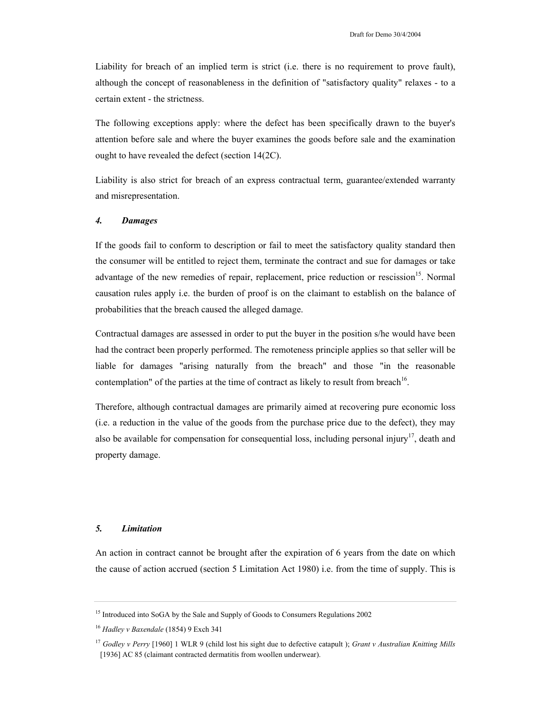Liability for breach of an implied term is strict (i.e. there is no requirement to prove fault), although the concept of reasonableness in the definition of "satisfactory quality" relaxes - to a certain extent - the strictness.

The following exceptions apply: where the defect has been specifically drawn to the buyer's attention before sale and where the buyer examines the goods before sale and the examination ought to have revealed the defect (section 14(2C).

Liability is also strict for breach of an express contractual term, guarantee/extended warranty and misrepresentation.

#### *4. Damages*

If the goods fail to conform to description or fail to meet the satisfactory quality standard then the consumer will be entitled to reject them, terminate the contract and sue for damages or take advantage of the new remedies of repair, replacement, price reduction or rescission<sup>15</sup>. Normal causation rules apply i.e. the burden of proof is on the claimant to establish on the balance of probabilities that the breach caused the alleged damage.

Contractual damages are assessed in order to put the buyer in the position s/he would have been had the contract been properly performed. The remoteness principle applies so that seller will be liable for damages "arising naturally from the breach" and those "in the reasonable contemplation" of the parties at the time of contract as likely to result from breach<sup>16</sup>.

Therefore, although contractual damages are primarily aimed at recovering pure economic loss (i.e. a reduction in the value of the goods from the purchase price due to the defect), they may also be available for compensation for consequential loss, including personal injury<sup>17</sup>, death and property damage.

#### *5. Limitation*

An action in contract cannot be brought after the expiration of 6 years from the date on which the cause of action accrued (section 5 Limitation Act 1980) i.e. from the time of supply. This is

<sup>&</sup>lt;sup>15</sup> Introduced into SoGA by the Sale and Supply of Goods to Consumers Regulations 2002

<sup>16</sup> *Hadley v Baxendale* (1854) 9 Exch 341

<sup>17</sup> *Godley v Perry* [1960] 1 WLR 9 (child lost his sight due to defective catapult ); *Grant v Australian Knitting Mills* [1936] AC 85 (claimant contracted dermatitis from woollen underwear).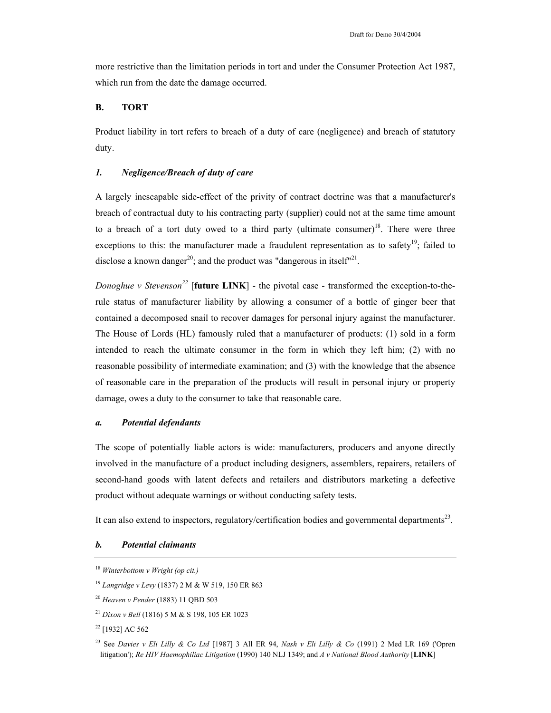more restrictive than the limitation periods in tort and under the Consumer Protection Act 1987, which run from the date the damage occurred.

### **B. TORT**

Product liability in tort refers to breach of a duty of care (negligence) and breach of statutory duty.

## *1. Negligence/Breach of duty of care*

A largely inescapable side-effect of the privity of contract doctrine was that a manufacturer's breach of contractual duty to his contracting party (supplier) could not at the same time amount to a breach of a tort duty owed to a third party (ultimate consumer)<sup>18</sup>. There were three exceptions to this: the manufacturer made a fraudulent representation as to safety<sup>19</sup>; failed to disclose a known danger<sup>20</sup>; and the product was "dangerous in itself"<sup>21</sup>.

*Donoghue v Stevenson*<sup>22</sup> [**future LINK**] - the pivotal case - transformed the exception-to-therule status of manufacturer liability by allowing a consumer of a bottle of ginger beer that contained a decomposed snail to recover damages for personal injury against the manufacturer. The House of Lords (HL) famously ruled that a manufacturer of products: (1) sold in a form intended to reach the ultimate consumer in the form in which they left him; (2) with no reasonable possibility of intermediate examination; and (3) with the knowledge that the absence of reasonable care in the preparation of the products will result in personal injury or property damage, owes a duty to the consumer to take that reasonable care.

### *a. Potential defendants*

The scope of potentially liable actors is wide: manufacturers, producers and anyone directly involved in the manufacture of a product including designers, assemblers, repairers, retailers of second-hand goods with latent defects and retailers and distributors marketing a defective product without adequate warnings or without conducting safety tests.

It can also extend to inspectors, regulatory/certification bodies and governmental departments<sup>23</sup>.

## *b. Potential claimants*

<sup>18</sup> *Winterbottom v Wright (op cit.)* 

<sup>19</sup> *Langridge v Levy* (1837) 2 M & W 519, 150 ER 863

<sup>20</sup> *Heaven v Pender* (1883) 11 QBD 503

<sup>21</sup> *Dixon v Bell* (1816) 5 M & S 198, 105 ER 1023

<sup>22 [1932]</sup> AC 562

<sup>23</sup> See *Davies v Eli Lilly & Co Ltd* [1987] 3 All ER 94, *Nash v Eli Lilly & Co* (1991) 2 Med LR 169 ('Opren litigation'); *Re HIV Haemophiliac Litigation* (1990) 140 NLJ 1349; and *A v National Blood Authority* [**LINK**]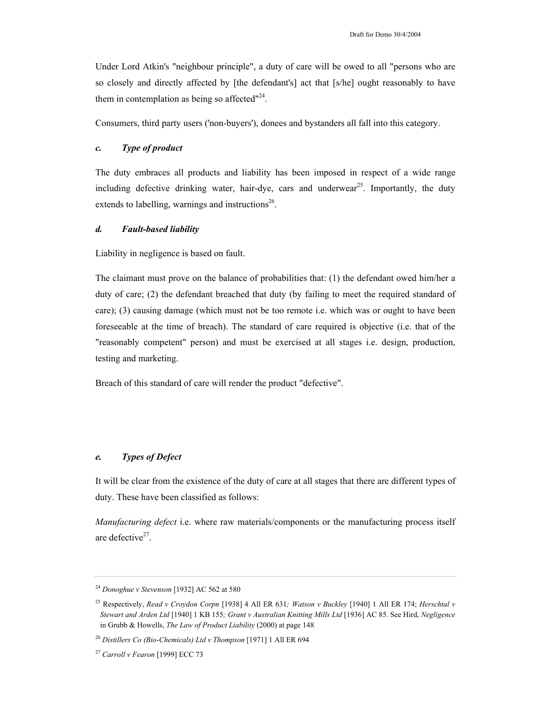Under Lord Atkin's "neighbour principle", a duty of care will be owed to all "persons who are so closely and directly affected by [the defendant's] act that [s/he] ought reasonably to have them in contemplation as being so affected $124$ .

Consumers, third party users ('non-buyers'), donees and bystanders all fall into this category.

## *c. Type of product*

The duty embraces all products and liability has been imposed in respect of a wide range including defective drinking water, hair-dye, cars and underwear<sup>25</sup>. Importantly, the duty extends to labelling, warnings and instructions<sup>26</sup>.

## *d. Fault-based liability*

Liability in negligence is based on fault.

The claimant must prove on the balance of probabilities that: (1) the defendant owed him/her a duty of care; (2) the defendant breached that duty (by failing to meet the required standard of care); (3) causing damage (which must not be too remote i.e. which was or ought to have been foreseeable at the time of breach). The standard of care required is objective (i.e. that of the "reasonably competent" person) and must be exercised at all stages i.e. design, production, testing and marketing.

Breach of this standard of care will render the product "defective".

# *e. Types of Defect*

It will be clear from the existence of the duty of care at all stages that there are different types of duty. These have been classified as follows:

*Manufacturing defect* i.e. where raw materials/components or the manufacturing process itself are defective $27$ .

<sup>24</sup> *Donoghue v Stevenson* [1932] AC 562 at 580

<sup>25</sup> Respectively, *Read v Croydon Corpn* [1938] 4 All ER 631*; Watson v Buckley* [1940] 1 All ER 174; *Herschtal v Stewart and Arden Ltd* [1940] 1 KB 155*; Grant v Australian Knitting Mills Ltd* [1936] AC 85. See Hird, *Negligence* in Grubb & Howells, *The Law of Product Liability* (2000) at page 148

<sup>26</sup> *Distillers Co (Bio-Chemicals) Ltd v Thompson* [1971] 1 All ER 694

<sup>27</sup> *Carroll v Fearon* [1999] ECC 73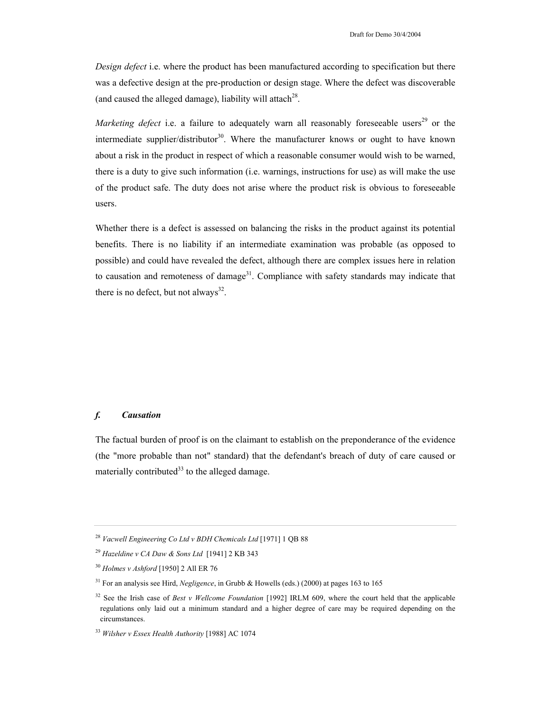*Design defect* i.e. where the product has been manufactured according to specification but there was a defective design at the pre-production or design stage. Where the defect was discoverable (and caused the alleged damage), liability will attach<sup>28</sup>.

*Marketing defect* i.e. a failure to adequately warn all reasonably foreseeable users<sup>29</sup> or the intermediate supplier/distributor<sup>30</sup>. Where the manufacturer knows or ought to have known about a risk in the product in respect of which a reasonable consumer would wish to be warned, there is a duty to give such information (i.e. warnings, instructions for use) as will make the use of the product safe. The duty does not arise where the product risk is obvious to foreseeable users.

Whether there is a defect is assessed on balancing the risks in the product against its potential benefits. There is no liability if an intermediate examination was probable (as opposed to possible) and could have revealed the defect, although there are complex issues here in relation to causation and remoteness of damage<sup>31</sup>. Compliance with safety standards may indicate that there is no defect, but not always $^{32}$ .

# *f. Causation*

The factual burden of proof is on the claimant to establish on the preponderance of the evidence (the "more probable than not" standard) that the defendant's breach of duty of care caused or materially contributed<sup>33</sup> to the alleged damage.

<sup>28</sup> *Vacwell Engineering Co Ltd v BDH Chemicals Ltd* [1971] 1 QB 88

<sup>29</sup> *Hazeldine v CA Daw & Sons Ltd* [1941] 2 KB 343

<sup>30</sup> *Holmes v Ashford* [1950] 2 All ER 76

<sup>31</sup> For an analysis see Hird, *Negligence*, in Grubb & Howells (eds.) (2000) at pages 163 to 165

<sup>32</sup> See the Irish case of *Best v Wellcome Foundation* [1992] IRLM 609, where the court held that the applicable regulations only laid out a minimum standard and a higher degree of care may be required depending on the circumstances.

<sup>33</sup> *Wilsher v Essex Health Authority* [1988] AC 1074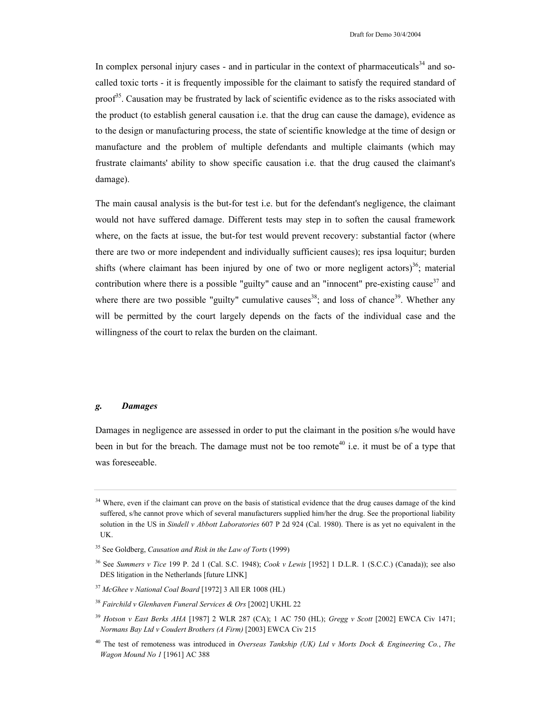In complex personal injury cases - and in particular in the context of pharmaceuticals $34$  and socalled toxic torts - it is frequently impossible for the claimant to satisfy the required standard of proof<sup>35</sup>. Causation may be frustrated by lack of scientific evidence as to the risks associated with the product (to establish general causation i.e. that the drug can cause the damage), evidence as to the design or manufacturing process, the state of scientific knowledge at the time of design or manufacture and the problem of multiple defendants and multiple claimants (which may frustrate claimants' ability to show specific causation i.e. that the drug caused the claimant's damage).

The main causal analysis is the but-for test i.e. but for the defendant's negligence, the claimant would not have suffered damage. Different tests may step in to soften the causal framework where, on the facts at issue, the but-for test would prevent recovery: substantial factor (where there are two or more independent and individually sufficient causes); res ipsa loquitur; burden shifts (where claimant has been injured by one of two or more negligent actors)<sup>36</sup>; material contribution where there is a possible "guilty" cause and an "innocent" pre-existing cause<sup>37</sup> and where there are two possible "guilty" cumulative causes<sup>38</sup>; and loss of chance<sup>39</sup>. Whether any will be permitted by the court largely depends on the facts of the individual case and the willingness of the court to relax the burden on the claimant.

## *g. Damages*

Damages in negligence are assessed in order to put the claimant in the position s/he would have been in but for the breach. The damage must not be too remote<sup>40</sup> i.e. it must be of a type that was foreseeable.

<sup>&</sup>lt;sup>34</sup> Where, even if the claimant can prove on the basis of statistical evidence that the drug causes damage of the kind suffered, s/he cannot prove which of several manufacturers supplied him/her the drug. See the proportional liability solution in the US in *Sindell v Abbott Laboratories* 607 P 2d 924 (Cal. 1980). There is as yet no equivalent in the UK.

<sup>35</sup> See Goldberg, *Causation and Risk in the Law of Torts* (1999)

<sup>36</sup> See *Summers v Tice* 199 P. 2d 1 (Cal. S.C. 1948); *Cook v Lewis* [1952] 1 D.L.R. 1 (S.C.C.) (Canada)); see also DES litigation in the Netherlands [future LINK]

<sup>37</sup> *McGhee v National Coal Board* [1972] 3 All ER 1008 (HL)

<sup>38</sup> *Fairchild v Glenhaven Funeral Services & Ors* [2002] UKHL 22

<sup>39</sup> *Hotson v East Berks AHA* [1987] 2 WLR 287 (CA); 1 AC 750 (HL); *Gregg v Scott* [2002] EWCA Civ 1471; *Normans Bay Ltd v Coudert Brothers (A Firm)* [2003] EWCA Civ 215

<sup>40</sup> The test of remoteness was introduced in *Overseas Tankship (UK) Ltd v Morts Dock & Engineering Co.*, *The Wagon Mound No 1* [1961] AC 388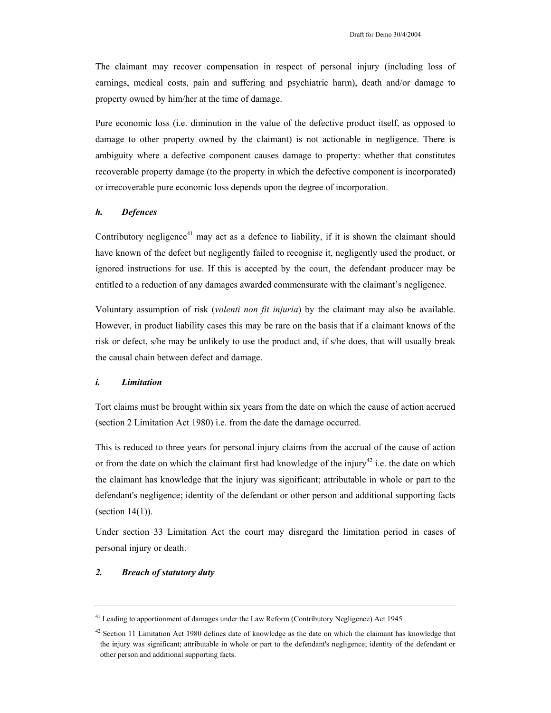The claimant may recover compensation in respect of personal injury (including loss of earnings, medical costs, pain and suffering and psychiatric harm), death and/or damage to property owned by him/her at the time of damage.

Pure economic loss (i.e. diminution in the value of the defective product itself, as opposed to damage to other property owned by the claimant) is not actionable in negligence. There is ambiguity where a defective component causes damage to property: whether that constitutes recoverable property damage (to the property in which the defective component is incorporated) or irrecoverable pure economic loss depends upon the degree of incorporation.

## *h. Defences*

Contributory negligence<sup>41</sup> may act as a defence to liability, if it is shown the claimant should have known of the defect but negligently failed to recognise it, negligently used the product, or ignored instructions for use. If this is accepted by the court, the defendant producer may be entitled to a reduction of any damages awarded commensurate with the claimant's negligence.

Voluntary assumption of risk (*volenti non fit injuria*) by the claimant may also be available. However, in product liability cases this may be rare on the basis that if a claimant knows of the risk or defect, s/he may be unlikely to use the product and, if s/he does, that will usually break the causal chain between defect and damage.

## *i. Limitation*

Tort claims must be brought within six years from the date on which the cause of action accrued (section 2 Limitation Act 1980) i.e. from the date the damage occurred.

This is reduced to three years for personal injury claims from the accrual of the cause of action or from the date on which the claimant first had knowledge of the injury<sup>42</sup> i.e. the date on which the claimant has knowledge that the injury was significant; attributable in whole or part to the defendant's negligence; identity of the defendant or other person and additional supporting facts (section  $14(1)$ ).

Under section 33 Limitation Act the court may disregard the limitation period in cases of personal injury or death.

## *2. Breach of statutory duty*

<sup>&</sup>lt;sup>41</sup> Leading to apportionment of damages under the Law Reform (Contributory Negligence) Act 1945

 $42$  Section 11 Limitation Act 1980 defines date of knowledge as the date on which the claimant has knowledge that the injury was significant; attributable in whole or part to the defendant's negligence; identity of the defendant or other person and additional supporting facts.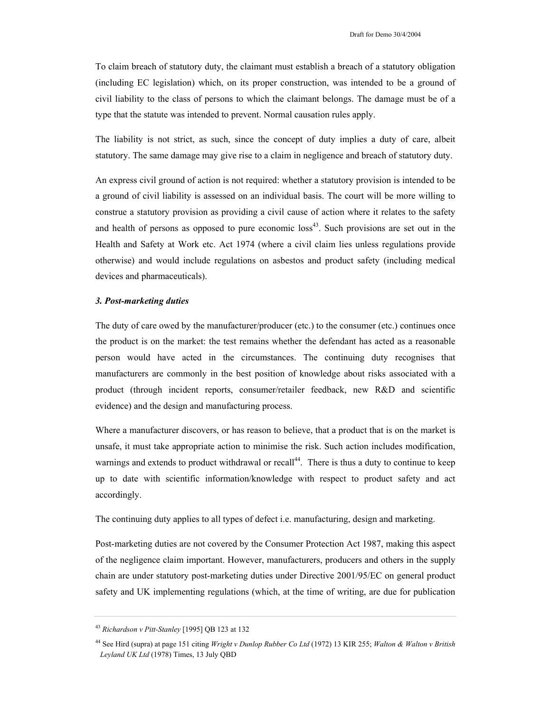To claim breach of statutory duty, the claimant must establish a breach of a statutory obligation (including EC legislation) which, on its proper construction, was intended to be a ground of civil liability to the class of persons to which the claimant belongs. The damage must be of a type that the statute was intended to prevent. Normal causation rules apply.

The liability is not strict, as such, since the concept of duty implies a duty of care, albeit statutory. The same damage may give rise to a claim in negligence and breach of statutory duty.

An express civil ground of action is not required: whether a statutory provision is intended to be a ground of civil liability is assessed on an individual basis. The court will be more willing to construe a statutory provision as providing a civil cause of action where it relates to the safety and health of persons as opposed to pure economic  $loss<sup>43</sup>$ . Such provisions are set out in the Health and Safety at Work etc. Act 1974 (where a civil claim lies unless regulations provide otherwise) and would include regulations on asbestos and product safety (including medical devices and pharmaceuticals).

### *3. Post-marketing duties*

The duty of care owed by the manufacturer/producer (etc.) to the consumer (etc.) continues once the product is on the market: the test remains whether the defendant has acted as a reasonable person would have acted in the circumstances. The continuing duty recognises that manufacturers are commonly in the best position of knowledge about risks associated with a product (through incident reports, consumer/retailer feedback, new R&D and scientific evidence) and the design and manufacturing process.

Where a manufacturer discovers, or has reason to believe, that a product that is on the market is unsafe, it must take appropriate action to minimise the risk. Such action includes modification, warnings and extends to product withdrawal or recall<sup>44</sup>. There is thus a duty to continue to keep up to date with scientific information/knowledge with respect to product safety and act accordingly.

The continuing duty applies to all types of defect i.e. manufacturing, design and marketing.

Post-marketing duties are not covered by the Consumer Protection Act 1987, making this aspect of the negligence claim important. However, manufacturers, producers and others in the supply chain are under statutory post-marketing duties under Directive 2001/95/EC on general product safety and UK implementing regulations (which, at the time of writing, are due for publication

<sup>43</sup> *Richardson v Pitt-Stanley* [1995] QB 123 at 132

<sup>44</sup> See Hird (supra) at page 151 citing *Wright v Dunlop Rubber Co Ltd* (1972) 13 KIR 255; *Walton & Walton v British Leyland UK Ltd* (1978) Times, 13 July QBD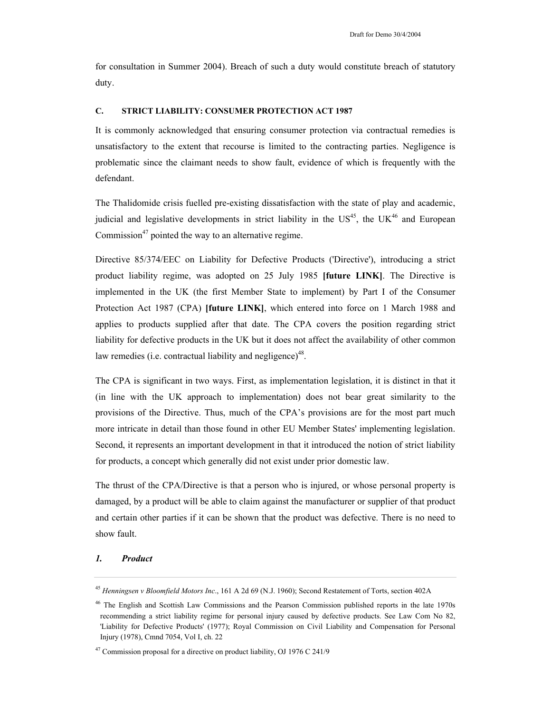for consultation in Summer 2004). Breach of such a duty would constitute breach of statutory duty.

## **C. STRICT LIABILITY: CONSUMER PROTECTION ACT 1987**

It is commonly acknowledged that ensuring consumer protection via contractual remedies is unsatisfactory to the extent that recourse is limited to the contracting parties. Negligence is problematic since the claimant needs to show fault, evidence of which is frequently with the defendant.

The Thalidomide crisis fuelled pre-existing dissatisfaction with the state of play and academic, judicial and legislative developments in strict liability in the  $US^{45}$ , the UK $^{46}$  and European Commission<sup>47</sup> pointed the way to an alternative regime.

Directive 85/374/EEC on Liability for Defective Products ('Directive'), introducing a strict product liability regime, was adopted on 25 July 1985 **[future LINK]**. The Directive is implemented in the UK (the first Member State to implement) by Part I of the Consumer Protection Act 1987 (CPA) **[future LINK]**, which entered into force on 1 March 1988 and applies to products supplied after that date. The CPA covers the position regarding strict liability for defective products in the UK but it does not affect the availability of other common law remedies (i.e. contractual liability and negligence)<sup>48</sup>.

The CPA is significant in two ways. First, as implementation legislation, it is distinct in that it (in line with the UK approach to implementation) does not bear great similarity to the provisions of the Directive. Thus, much of the CPA's provisions are for the most part much more intricate in detail than those found in other EU Member States' implementing legislation. Second, it represents an important development in that it introduced the notion of strict liability for products, a concept which generally did not exist under prior domestic law.

The thrust of the CPA/Directive is that a person who is injured, or whose personal property is damaged, by a product will be able to claim against the manufacturer or supplier of that product and certain other parties if it can be shown that the product was defective. There is no need to show fault.

#### *1. Product*

<sup>45</sup> *Henningsen v Bloomfield Motors Inc*., 161 A 2d 69 (N.J. 1960); Second Restatement of Torts, section 402A

<sup>&</sup>lt;sup>46</sup> The English and Scottish Law Commissions and the Pearson Commission published reports in the late 1970s recommending a strict liability regime for personal injury caused by defective products. See Law Com No 82, 'Liability for Defective Products' (1977); Royal Commission on Civil Liability and Compensation for Personal Injury (1978), Cmnd 7054, Vol I, ch. 22

 $47$  Commission proposal for a directive on product liability, OJ 1976 C 241/9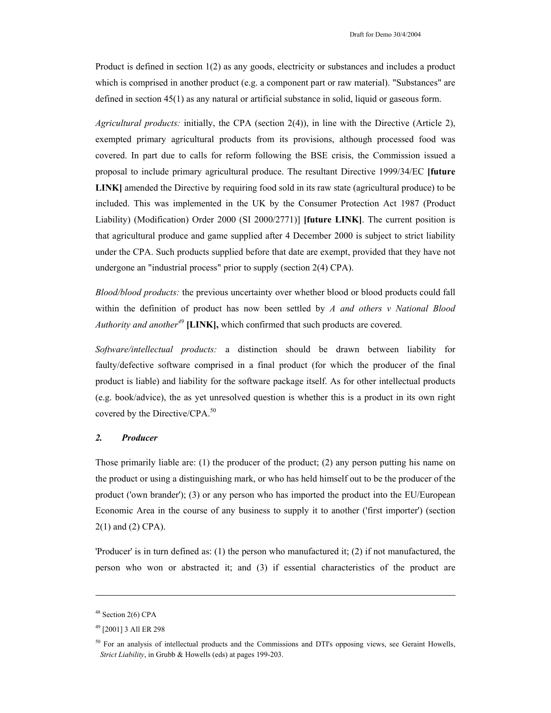Product is defined in section 1(2) as any goods, electricity or substances and includes a product which is comprised in another product (e.g. a component part or raw material). "Substances" are defined in section 45(1) as any natural or artificial substance in solid, liquid or gaseous form.

*Agricultural products:* initially, the CPA (section 2(4)), in line with the Directive (Article 2), exempted primary agricultural products from its provisions, although processed food was covered. In part due to calls for reform following the BSE crisis, the Commission issued a proposal to include primary agricultural produce. The resultant Directive 1999/34/EC **[future LINK]** amended the Directive by requiring food sold in its raw state (agricultural produce) to be included. This was implemented in the UK by the Consumer Protection Act 1987 (Product Liability) (Modification) Order 2000 (SI 2000/2771)] **[future LINK]**. The current position is that agricultural produce and game supplied after 4 December 2000 is subject to strict liability under the CPA. Such products supplied before that date are exempt, provided that they have not undergone an "industrial process" prior to supply (section 2(4) CPA).

*Blood/blood products:* the previous uncertainty over whether blood or blood products could fall within the definition of product has now been settled by *A and others v National Blood Authority and another<sup>49</sup>* **[LINK],** which confirmed that such products are covered.

*Software/intellectual products:* a distinction should be drawn between liability for faulty/defective software comprised in a final product (for which the producer of the final product is liable) and liability for the software package itself. As for other intellectual products (e.g. book/advice), the as yet unresolved question is whether this is a product in its own right covered by the Directive/CPA.<sup>50</sup>

### *2. Producer*

Those primarily liable are: (1) the producer of the product; (2) any person putting his name on the product or using a distinguishing mark, or who has held himself out to be the producer of the product ('own brander'); (3) or any person who has imported the product into the EU/European Economic Area in the course of any business to supply it to another ('first importer') (section 2(1) and (2) CPA).

'Producer' is in turn defined as: (1) the person who manufactured it; (2) if not manufactured, the person who won or abstracted it; and (3) if essential characteristics of the product are

l

<sup>48</sup> Section 2(6) CPA

<sup>49 [2001] 3</sup> All ER 298

<sup>&</sup>lt;sup>50</sup> For an analysis of intellectual products and the Commissions and DTI's opposing views, see Geraint Howells, *Strict Liability*, in Grubb & Howells (eds) at pages 199-203.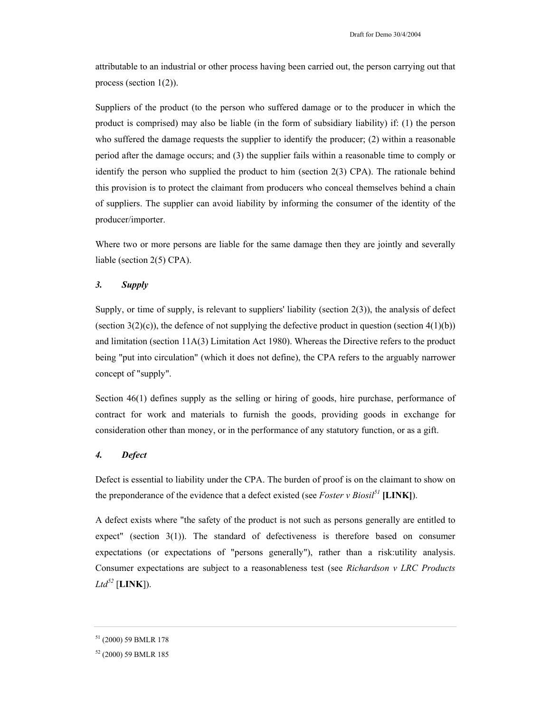attributable to an industrial or other process having been carried out, the person carrying out that process (section  $1(2)$ ).

Suppliers of the product (to the person who suffered damage or to the producer in which the product is comprised) may also be liable (in the form of subsidiary liability) if: (1) the person who suffered the damage requests the supplier to identify the producer; (2) within a reasonable period after the damage occurs; and (3) the supplier fails within a reasonable time to comply or identify the person who supplied the product to him (section 2(3) CPA). The rationale behind this provision is to protect the claimant from producers who conceal themselves behind a chain of suppliers. The supplier can avoid liability by informing the consumer of the identity of the producer/importer.

Where two or more persons are liable for the same damage then they are jointly and severally liable (section 2(5) CPA).

### *3. Supply*

Supply, or time of supply, is relevant to suppliers' liability (section 2(3)), the analysis of defect (section  $3(2)(c)$ ), the defence of not supplying the defective product in question (section  $4(1)(b)$ ) and limitation (section 11A(3) Limitation Act 1980). Whereas the Directive refers to the product being "put into circulation" (which it does not define), the CPA refers to the arguably narrower concept of "supply".

Section 46(1) defines supply as the selling or hiring of goods, hire purchase, performance of contract for work and materials to furnish the goods, providing goods in exchange for consideration other than money, or in the performance of any statutory function, or as a gift.

## *4. Defect*

Defect is essential to liability under the CPA. The burden of proof is on the claimant to show on the preponderance of the evidence that a defect existed (see *Foster v Biosil*<sup>51</sup> [LINK]).

A defect exists where "the safety of the product is not such as persons generally are entitled to expect" (section  $3(1)$ ). The standard of defectiveness is therefore based on consumer expectations (or expectations of "persons generally"), rather than a risk:utility analysis. Consumer expectations are subject to a reasonableness test (see *Richardson v LRC Products*   $Ltd^{52}$  [**LINK**]).

<sup>51 (2000) 59</sup> BMLR 178

<sup>52 (2000) 59</sup> BMLR 185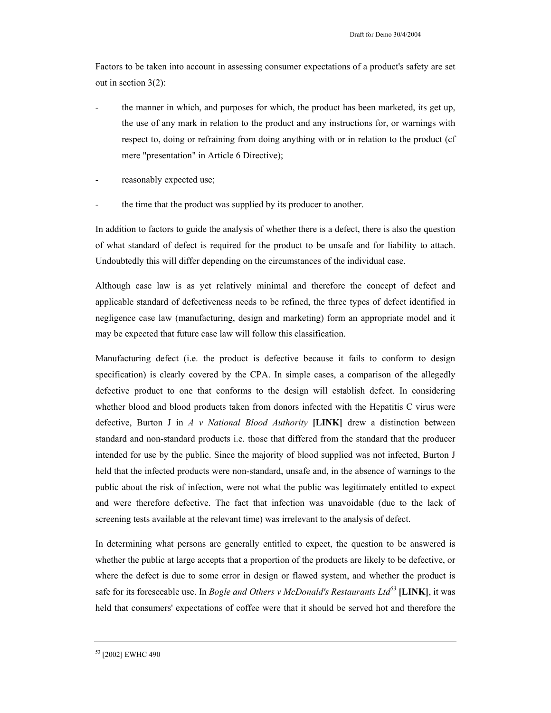Factors to be taken into account in assessing consumer expectations of a product's safety are set out in section 3(2):

- the manner in which, and purposes for which, the product has been marketed, its get up, the use of any mark in relation to the product and any instructions for, or warnings with respect to, doing or refraining from doing anything with or in relation to the product (cf mere "presentation" in Article 6 Directive);
- reasonably expected use;
- the time that the product was supplied by its producer to another.

In addition to factors to guide the analysis of whether there is a defect, there is also the question of what standard of defect is required for the product to be unsafe and for liability to attach. Undoubtedly this will differ depending on the circumstances of the individual case.

Although case law is as yet relatively minimal and therefore the concept of defect and applicable standard of defectiveness needs to be refined, the three types of defect identified in negligence case law (manufacturing, design and marketing) form an appropriate model and it may be expected that future case law will follow this classification.

Manufacturing defect (i.e. the product is defective because it fails to conform to design specification) is clearly covered by the CPA. In simple cases, a comparison of the allegedly defective product to one that conforms to the design will establish defect. In considering whether blood and blood products taken from donors infected with the Hepatitis C virus were defective, Burton J in *A v National Blood Authority* **[LINK]** drew a distinction between standard and non-standard products i.e. those that differed from the standard that the producer intended for use by the public. Since the majority of blood supplied was not infected, Burton J held that the infected products were non-standard, unsafe and, in the absence of warnings to the public about the risk of infection, were not what the public was legitimately entitled to expect and were therefore defective. The fact that infection was unavoidable (due to the lack of screening tests available at the relevant time) was irrelevant to the analysis of defect.

In determining what persons are generally entitled to expect, the question to be answered is whether the public at large accepts that a proportion of the products are likely to be defective, or where the defect is due to some error in design or flawed system, and whether the product is safe for its foreseeable use. In *Bogle and Others v McDonald's Restaurants Ltd<sup>53</sup>* **[LINK]**, it was held that consumers' expectations of coffee were that it should be served hot and therefore the

<sup>53 [2002]</sup> EWHC 490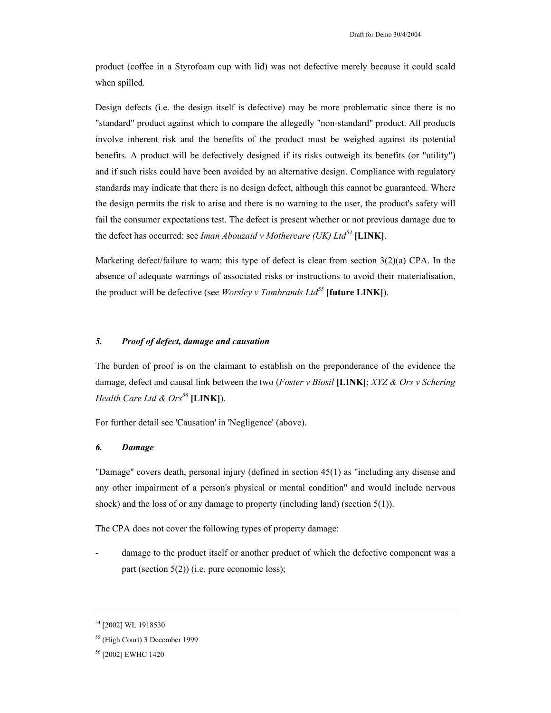product (coffee in a Styrofoam cup with lid) was not defective merely because it could scald when spilled.

Design defects (i.e. the design itself is defective) may be more problematic since there is no "standard" product against which to compare the allegedly "non-standard" product. All products involve inherent risk and the benefits of the product must be weighed against its potential benefits. A product will be defectively designed if its risks outweigh its benefits (or "utility") and if such risks could have been avoided by an alternative design. Compliance with regulatory standards may indicate that there is no design defect, although this cannot be guaranteed. Where the design permits the risk to arise and there is no warning to the user, the product's safety will fail the consumer expectations test. The defect is present whether or not previous damage due to the defect has occurred: see *Iman Abouzaid v Mothercare (UK) Ltd<sup>54</sup>* **[LINK]**.

Marketing defect/failure to warn: this type of defect is clear from section  $3(2)(a)$  CPA. In the absence of adequate warnings of associated risks or instructions to avoid their materialisation, the product will be defective (see *Worsley v Tambrands Ltd<sup>55</sup>* **[future LINK]**).

## *5. Proof of defect, damage and causation*

The burden of proof is on the claimant to establish on the preponderance of the evidence the damage, defect and causal link between the two (*Foster v Biosil* **[LINK]**; *XYZ & Ors v Schering Health Care Ltd & Ors<sup>56</sup>* **[LINK]**).

For further detail see 'Causation' in 'Negligence' (above).

### *6. Damage*

"Damage" covers death, personal injury (defined in section 45(1) as "including any disease and any other impairment of a person's physical or mental condition" and would include nervous shock) and the loss of or any damage to property (including land) (section 5(1)).

The CPA does not cover the following types of property damage:

damage to the product itself or another product of which the defective component was a part (section 5(2)) (i.e. pure economic loss);

<sup>54 [2002]</sup> WL 1918530

<sup>55 (</sup>High Court) 3 December 1999

<sup>56 [2002]</sup> EWHC 1420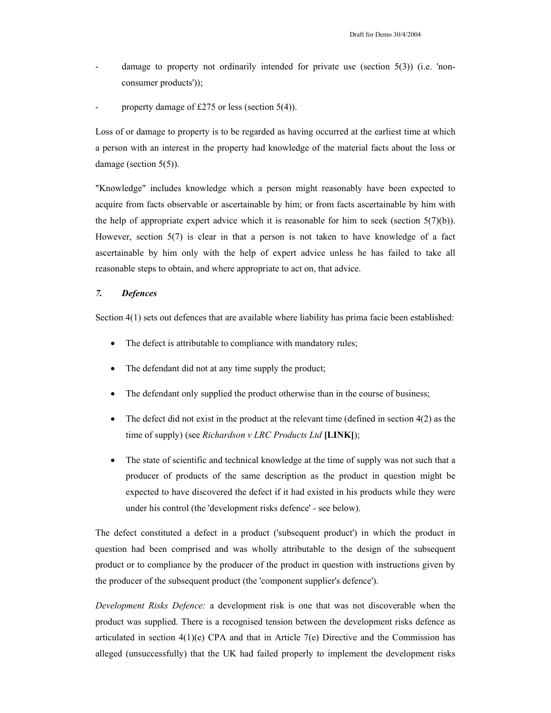- damage to property not ordinarily intended for private use (section  $5(3)$ ) (i.e. 'nonconsumer products'));
- property damage of £275 or less (section  $5(4)$ ).

Loss of or damage to property is to be regarded as having occurred at the earliest time at which a person with an interest in the property had knowledge of the material facts about the loss or damage (section 5(5)).

"Knowledge" includes knowledge which a person might reasonably have been expected to acquire from facts observable or ascertainable by him; or from facts ascertainable by him with the help of appropriate expert advice which it is reasonable for him to seek (section  $5(7)(b)$ ). However, section  $5(7)$  is clear in that a person is not taken to have knowledge of a fact ascertainable by him only with the help of expert advice unless he has failed to take all reasonable steps to obtain, and where appropriate to act on, that advice.

## *7. Defences*

Section 4(1) sets out defences that are available where liability has prima facie been established:

- The defect is attributable to compliance with mandatory rules;
- The defendant did not at any time supply the product;
- The defendant only supplied the product otherwise than in the course of business;
- The defect did not exist in the product at the relevant time (defined in section  $4(2)$  as the time of supply) (see *Richardson v LRC Products Ltd* **[LINK]**);
- The state of scientific and technical knowledge at the time of supply was not such that a producer of products of the same description as the product in question might be expected to have discovered the defect if it had existed in his products while they were under his control (the 'development risks defence' - see below).

The defect constituted a defect in a product ('subsequent product') in which the product in question had been comprised and was wholly attributable to the design of the subsequent product or to compliance by the producer of the product in question with instructions given by the producer of the subsequent product (the 'component supplier's defence').

*Development Risks Defence:* a development risk is one that was not discoverable when the product was supplied. There is a recognised tension between the development risks defence as articulated in section  $4(1)(e)$  CPA and that in Article 7(e) Directive and the Commission has alleged (unsuccessfully) that the UK had failed properly to implement the development risks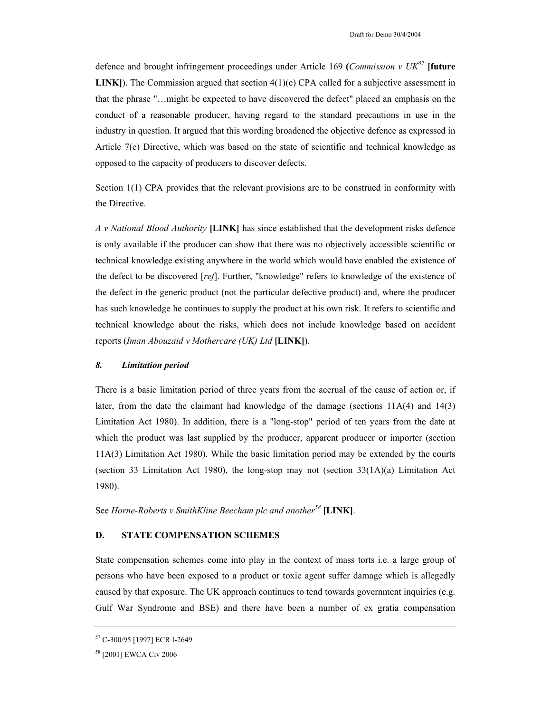defence and brought infringement proceedings under Article 169 **(***Commission v UK<sup>57</sup>* **[future LINK**). The Commission argued that section 4(1)(e) CPA called for a subjective assessment in that the phrase "…might be expected to have discovered the defect" placed an emphasis on the conduct of a reasonable producer, having regard to the standard precautions in use in the industry in question. It argued that this wording broadened the objective defence as expressed in Article 7(e) Directive, which was based on the state of scientific and technical knowledge as opposed to the capacity of producers to discover defects.

Section 1(1) CPA provides that the relevant provisions are to be construed in conformity with the Directive.

*A v National Blood Authority* **[LINK]** has since established that the development risks defence is only available if the producer can show that there was no objectively accessible scientific or technical knowledge existing anywhere in the world which would have enabled the existence of the defect to be discovered [*ref*]. Further, "knowledge" refers to knowledge of the existence of the defect in the generic product (not the particular defective product) and, where the producer has such knowledge he continues to supply the product at his own risk. It refers to scientific and technical knowledge about the risks, which does not include knowledge based on accident reports (*Iman Abouzaid v Mothercare (UK) Ltd* **[LINK]**).

## *8. Limitation period*

There is a basic limitation period of three years from the accrual of the cause of action or, if later, from the date the claimant had knowledge of the damage (sections  $11A(4)$  and  $14(3)$ ) Limitation Act 1980). In addition, there is a "long-stop" period of ten years from the date at which the product was last supplied by the producer, apparent producer or importer (section 11A(3) Limitation Act 1980). While the basic limitation period may be extended by the courts (section 33 Limitation Act 1980), the long-stop may not (section  $33(1A)(a)$  Limitation Act 1980).

See *Horne-Roberts v SmithKline Beecham plc and another<sup>58</sup>* **[LINK]**.

## **D. STATE COMPENSATION SCHEMES**

State compensation schemes come into play in the context of mass torts i.e. a large group of persons who have been exposed to a product or toxic agent suffer damage which is allegedly caused by that exposure. The UK approach continues to tend towards government inquiries (e.g. Gulf War Syndrome and BSE) and there have been a number of ex gratia compensation

<sup>57</sup> C-300/95 [1997] ECR I-2649

<sup>58 [2001]</sup> EWCA Civ 2006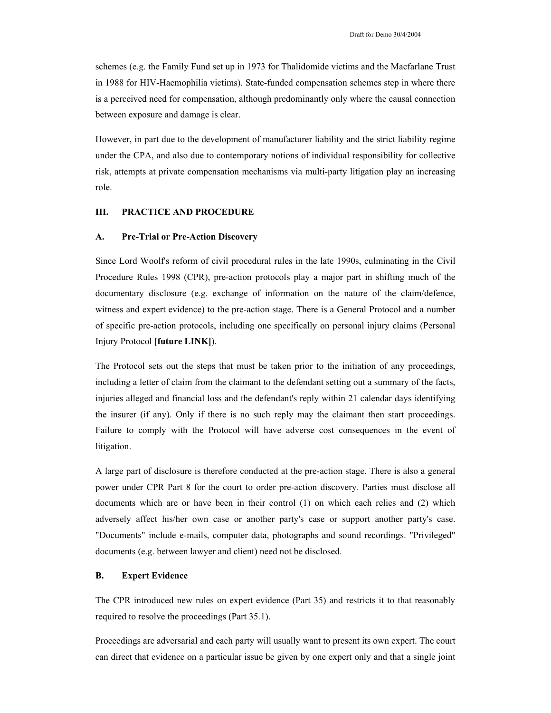schemes (e.g. the Family Fund set up in 1973 for Thalidomide victims and the Macfarlane Trust in 1988 for HIV-Haemophilia victims). State-funded compensation schemes step in where there is a perceived need for compensation, although predominantly only where the causal connection between exposure and damage is clear.

However, in part due to the development of manufacturer liability and the strict liability regime under the CPA, and also due to contemporary notions of individual responsibility for collective risk, attempts at private compensation mechanisms via multi-party litigation play an increasing role.

# **III. PRACTICE AND PROCEDURE**

## **A. Pre-Trial or Pre-Action Discovery**

Since Lord Woolf's reform of civil procedural rules in the late 1990s, culminating in the Civil Procedure Rules 1998 (CPR), pre-action protocols play a major part in shifting much of the documentary disclosure (e.g. exchange of information on the nature of the claim/defence, witness and expert evidence) to the pre-action stage. There is a General Protocol and a number of specific pre-action protocols, including one specifically on personal injury claims (Personal Injury Protocol **[future LINK]**).

The Protocol sets out the steps that must be taken prior to the initiation of any proceedings, including a letter of claim from the claimant to the defendant setting out a summary of the facts, injuries alleged and financial loss and the defendant's reply within 21 calendar days identifying the insurer (if any). Only if there is no such reply may the claimant then start proceedings. Failure to comply with the Protocol will have adverse cost consequences in the event of litigation.

A large part of disclosure is therefore conducted at the pre-action stage. There is also a general power under CPR Part 8 for the court to order pre-action discovery. Parties must disclose all documents which are or have been in their control (1) on which each relies and (2) which adversely affect his/her own case or another party's case or support another party's case. "Documents" include e-mails, computer data, photographs and sound recordings. "Privileged" documents (e.g. between lawyer and client) need not be disclosed.

## **B. Expert Evidence**

The CPR introduced new rules on expert evidence (Part 35) and restricts it to that reasonably required to resolve the proceedings (Part 35.1).

Proceedings are adversarial and each party will usually want to present its own expert. The court can direct that evidence on a particular issue be given by one expert only and that a single joint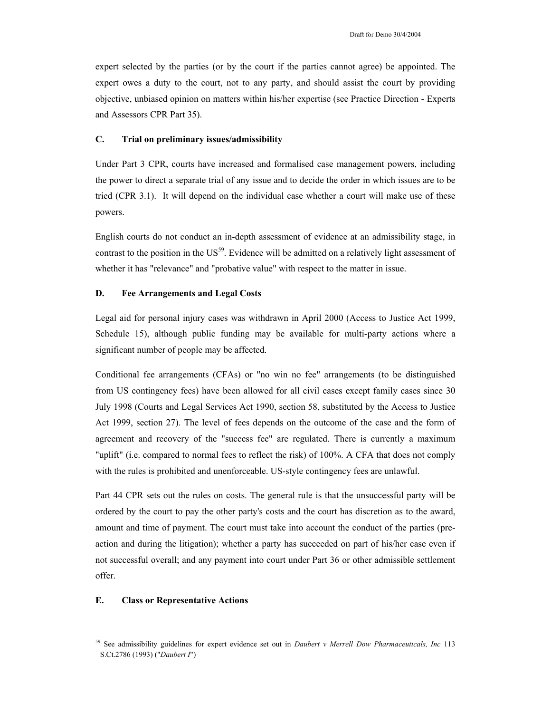expert selected by the parties (or by the court if the parties cannot agree) be appointed. The expert owes a duty to the court, not to any party, and should assist the court by providing objective, unbiased opinion on matters within his/her expertise (see Practice Direction - Experts and Assessors CPR Part 35).

## **C. Trial on preliminary issues/admissibility**

Under Part 3 CPR, courts have increased and formalised case management powers, including the power to direct a separate trial of any issue and to decide the order in which issues are to be tried (CPR 3.1). It will depend on the individual case whether a court will make use of these powers.

English courts do not conduct an in-depth assessment of evidence at an admissibility stage, in contrast to the position in the US<sup>59</sup>. Evidence will be admitted on a relatively light assessment of whether it has "relevance" and "probative value" with respect to the matter in issue.

## **D. Fee Arrangements and Legal Costs**

Legal aid for personal injury cases was withdrawn in April 2000 (Access to Justice Act 1999, Schedule 15), although public funding may be available for multi-party actions where a significant number of people may be affected.

Conditional fee arrangements (CFAs) or "no win no fee" arrangements (to be distinguished from US contingency fees) have been allowed for all civil cases except family cases since 30 July 1998 (Courts and Legal Services Act 1990, section 58, substituted by the Access to Justice Act 1999, section 27). The level of fees depends on the outcome of the case and the form of agreement and recovery of the "success fee" are regulated. There is currently a maximum "uplift" (i.e. compared to normal fees to reflect the risk) of 100%. A CFA that does not comply with the rules is prohibited and unenforceable. US-style contingency fees are unlawful.

Part 44 CPR sets out the rules on costs. The general rule is that the unsuccessful party will be ordered by the court to pay the other party's costs and the court has discretion as to the award, amount and time of payment. The court must take into account the conduct of the parties (preaction and during the litigation); whether a party has succeeded on part of his/her case even if not successful overall; and any payment into court under Part 36 or other admissible settlement offer.

### **E. Class or Representative Actions**

<sup>59</sup> See admissibility guidelines for expert evidence set out in *Daubert v Merrell Dow Pharmaceuticals, Inc* 113 S.Ct.2786 (1993) ("*Daubert I*")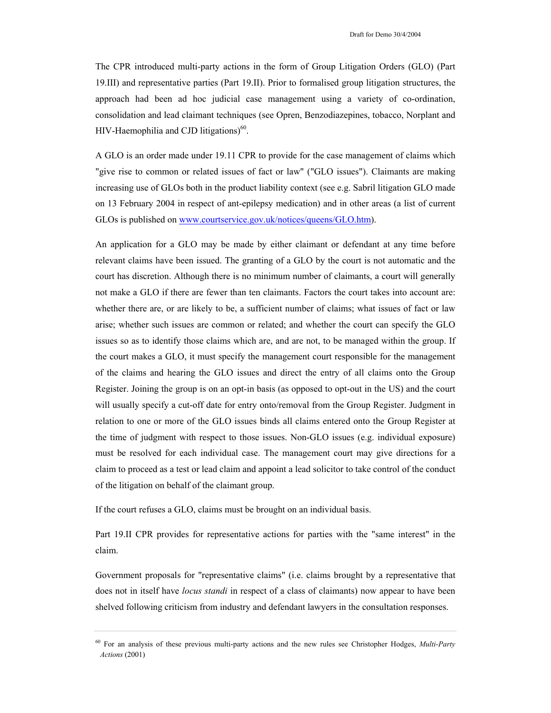The CPR introduced multi-party actions in the form of Group Litigation Orders (GLO) (Part 19.III) and representative parties (Part 19.II). Prior to formalised group litigation structures, the approach had been ad hoc judicial case management using a variety of co-ordination, consolidation and lead claimant techniques (see Opren, Benzodiazepines, tobacco, Norplant and HIV-Haemophilia and CJD litigations) $60$ .

A GLO is an order made under 19.11 CPR to provide for the case management of claims which "give rise to common or related issues of fact or law" ("GLO issues"). Claimants are making increasing use of GLOs both in the product liability context (see e.g. Sabril litigation GLO made on 13 February 2004 in respect of ant-epilepsy medication) and in other areas (a list of current GLOs is published on www.courtservice.gov.uk/notices/queens/GLO.htm).

An application for a GLO may be made by either claimant or defendant at any time before relevant claims have been issued. The granting of a GLO by the court is not automatic and the court has discretion. Although there is no minimum number of claimants, a court will generally not make a GLO if there are fewer than ten claimants. Factors the court takes into account are: whether there are, or are likely to be, a sufficient number of claims; what issues of fact or law arise; whether such issues are common or related; and whether the court can specify the GLO issues so as to identify those claims which are, and are not, to be managed within the group. If the court makes a GLO, it must specify the management court responsible for the management of the claims and hearing the GLO issues and direct the entry of all claims onto the Group Register. Joining the group is on an opt-in basis (as opposed to opt-out in the US) and the court will usually specify a cut-off date for entry onto/removal from the Group Register. Judgment in relation to one or more of the GLO issues binds all claims entered onto the Group Register at the time of judgment with respect to those issues. Non-GLO issues (e.g. individual exposure) must be resolved for each individual case. The management court may give directions for a claim to proceed as a test or lead claim and appoint a lead solicitor to take control of the conduct of the litigation on behalf of the claimant group.

If the court refuses a GLO, claims must be brought on an individual basis.

Part 19.II CPR provides for representative actions for parties with the "same interest" in the claim.

Government proposals for "representative claims" (i.e. claims brought by a representative that does not in itself have *locus standi* in respect of a class of claimants) now appear to have been shelved following criticism from industry and defendant lawyers in the consultation responses.

<sup>60</sup> For an analysis of these previous multi-party actions and the new rules see Christopher Hodges, *Multi-Party Actions* (2001)